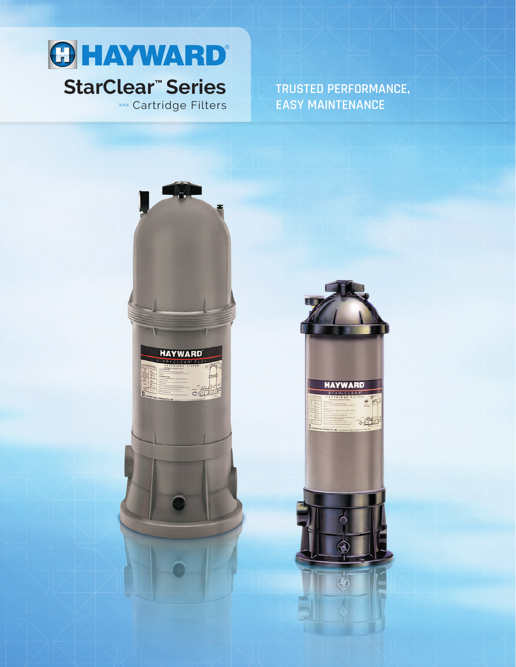

# **»** Cartridge Filters

**TRUSTED PERFORMANCE, EASY MAINTENANCE**